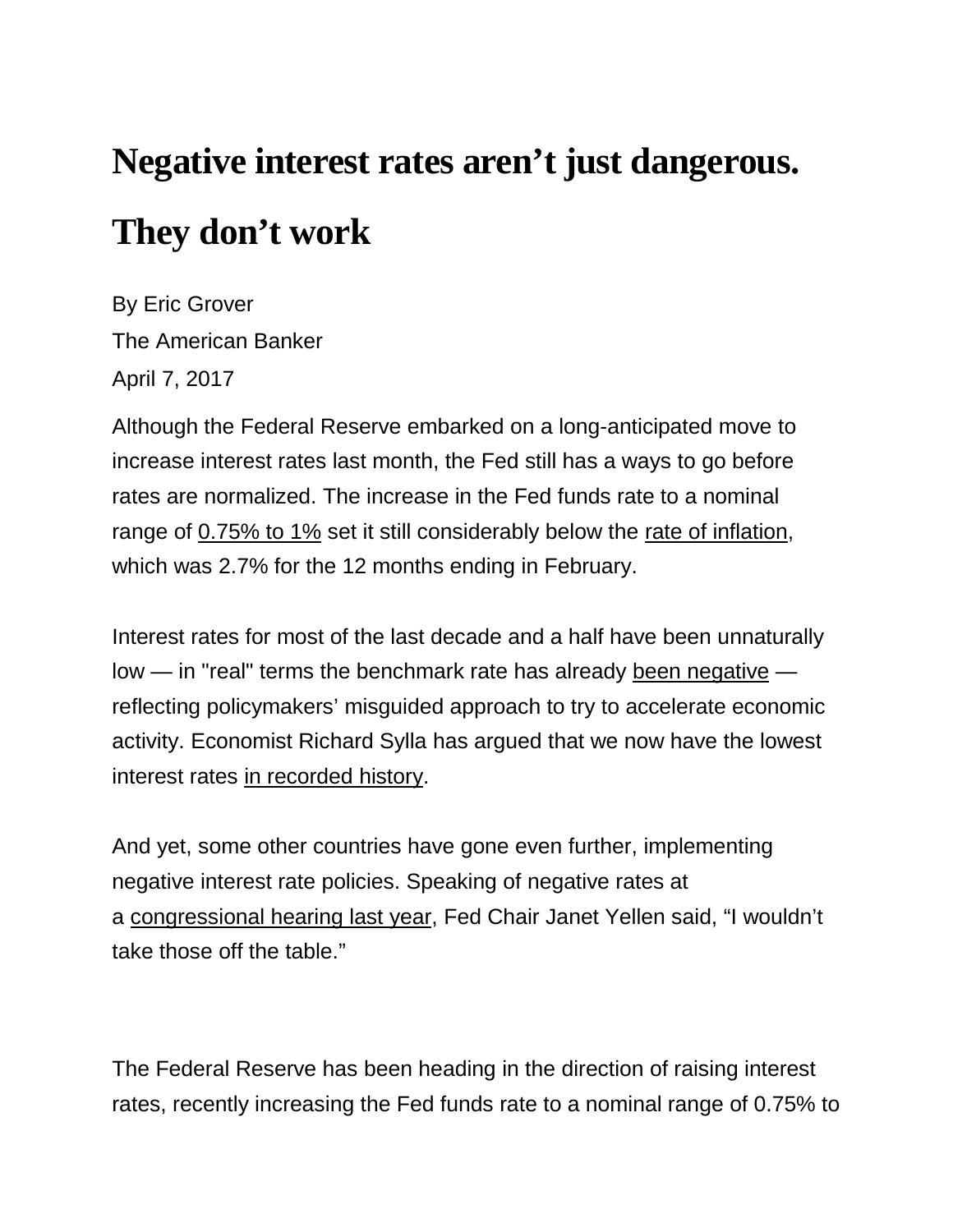## **Negative interest rates aren't just dangerous. They don't work**

By Eric Grover The American Banker April 7, 2017

Although the Federal Reserve embarked on a long-anticipated move to increase interest rates last month, the Fed still has a ways to go before rates are normalized. The increase in the Fed funds rate to a nominal range of [0.75% to 1%](https://www.federalreserve.gov/newsevents/pressreleases/monetary20170315a.htm) set it still considerably below the [rate of inflation,](https://www.bls.gov/cpi/cpid1702.pdf) which was 2.7% for the 12 months ending in February.

Interest rates for most of the last decade and a half have been unnaturally low — in "real" terms the benchmark rate has already [been negative](http://www.moneyandbanking.com/commentary/2016/8/22/negative-nominal-interest-rates-again) reflecting policymakers' misguided approach to try to accelerate economic activity. Economist Richard Sylla has argued that we now have the lowest interest rates [in recorded history.](https://www.aei.org/wp-content/uploads/2016/12/Sylla-Dec-15.pdf)

And yet, some other countries have gone even further, implementing negative interest rate policies. Speaking of negative rates at a [congressional hearing last year,](http://money.cnn.com/2016/02/11/news/economy/negative-interest-rates-janet-yellen/) Fed Chair Janet Yellen said, "I wouldn't take those off the table."

The Federal Reserve has been heading in the direction of raising interest rates, recently increasing the Fed funds rate to a nominal range of 0.75% to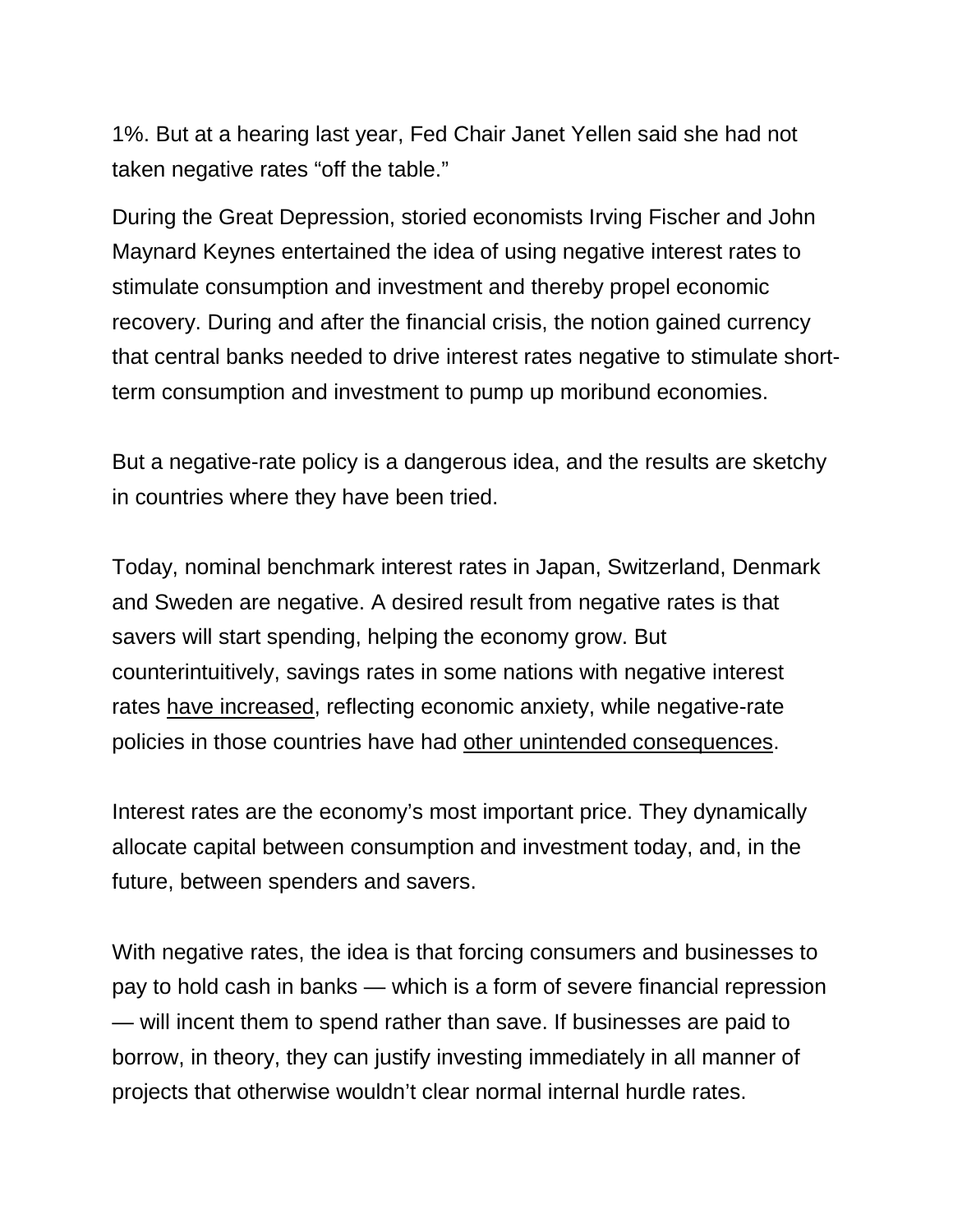1%. But at a hearing last year, Fed Chair Janet Yellen said she had not taken negative rates "off the table."

During the Great Depression, storied economists Irving Fischer and John Maynard Keynes entertained the idea of using negative interest rates to stimulate consumption and investment and thereby propel economic recovery. During and after the financial crisis, the notion gained currency that central banks needed to drive interest rates negative to stimulate shortterm consumption and investment to pump up moribund economies.

But a negative-rate policy is a dangerous idea, and the results are sketchy in countries where they have been tried.

Today, nominal benchmark interest rates in Japan, Switzerland, Denmark and Sweden are negative. A desired result from negative rates is that savers will start spending, helping the economy grow. But counterintuitively, savings rates in some nations with negative interest rates [have increased,](http://www.zerohedge.com/news/2016-10-13/nirp-has-failed-european-savings-rate-hits-5-year-high) reflecting economic anxiety, while negative-rate policies in those countries have had [other unintended consequences.](https://www.moodys.com/research/Moodys-Negative-interest-rates-in-Switzerland-Denmark-Sweden-are-having--PR_345731)

Interest rates are the economy's most important price. They dynamically allocate capital between consumption and investment today, and, in the future, between spenders and savers.

With negative rates, the idea is that forcing consumers and businesses to pay to hold cash in banks — which is a form of severe financial repression — will incent them to spend rather than save. If businesses are paid to borrow, in theory, they can justify investing immediately in all manner of projects that otherwise wouldn't clear normal internal hurdle rates.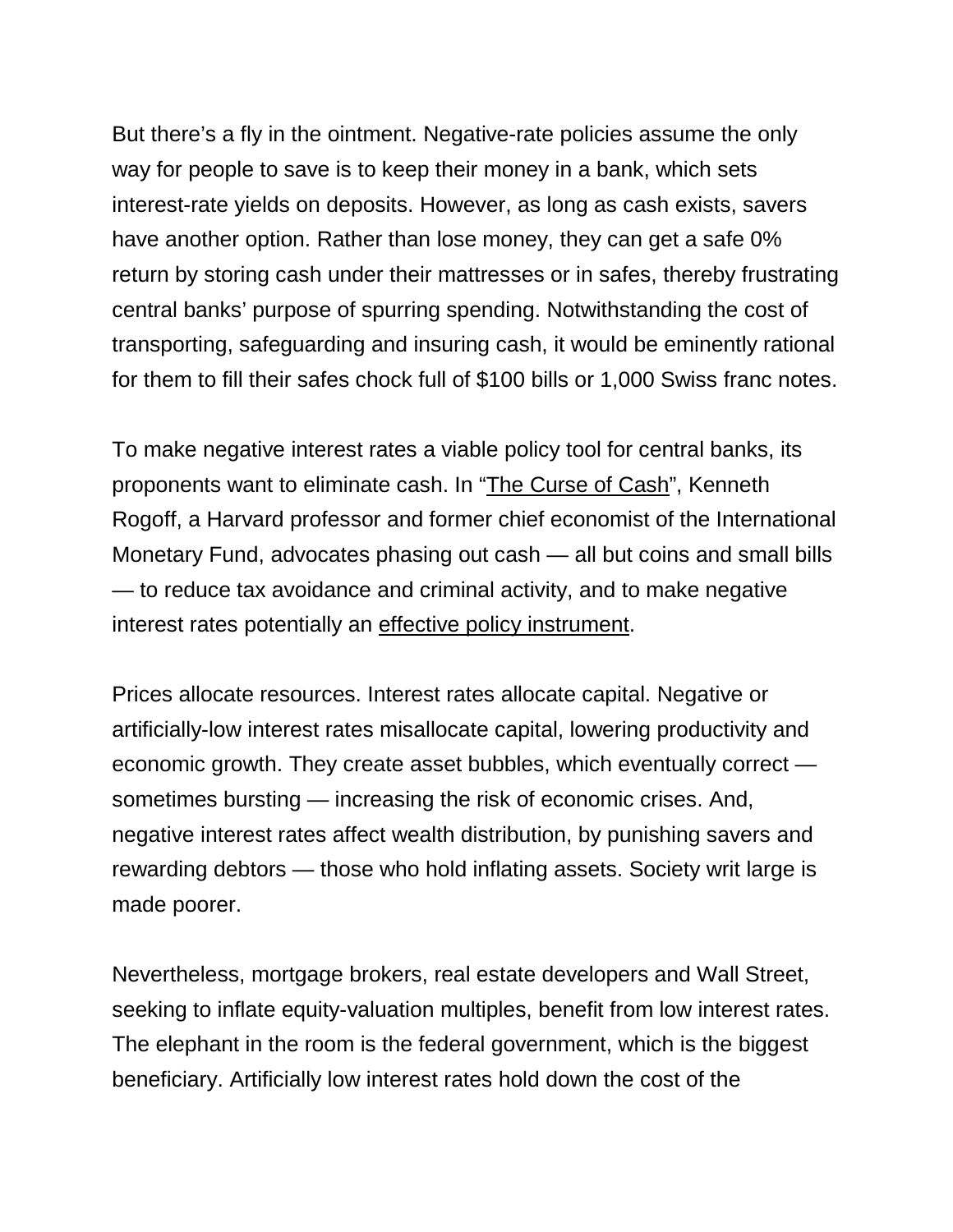But there's a fly in the ointment. Negative-rate policies assume the only way for people to save is to keep their money in a bank, which sets interest-rate yields on deposits. However, as long as cash exists, savers have another option. Rather than lose money, they can get a safe 0% return by storing cash under their mattresses or in safes, thereby frustrating central banks' purpose of spurring spending. Notwithstanding the cost of transporting, safeguarding and insuring cash, it would be eminently rational for them to fill their safes chock full of \$100 bills or 1,000 Swiss franc notes.

To make negative interest rates a viable policy tool for central banks, its proponents want to eliminate cash. In ["The Curse of Cash"](https://www.amazon.com/Curse-Cash-Kenneth-S-Rogoff/dp/0691172137/ref=sr_1_1?ie=UTF8&qid=1487011598&sr=8-1&keywords=curse+of+cash), Kenneth Rogoff, a Harvard professor and former chief economist of the International Monetary Fund, advocates phasing out cash — all but coins and small bills — to reduce tax avoidance and criminal activity, and to make negative interest rates potentially an [effective policy instrument.](https://www.bloomberg.com/news/articles/2016-09-07/harvard-economist-kenneth-rogoff-is-trying-to-kill-cash)

Prices allocate resources. Interest rates allocate capital. Negative or artificially-low interest rates misallocate capital, lowering productivity and economic growth. They create asset bubbles, which eventually correct sometimes bursting — increasing the risk of economic crises. And, negative interest rates affect wealth distribution, by punishing savers and rewarding debtors — those who hold inflating assets. Society writ large is made poorer.

Nevertheless, mortgage brokers, real estate developers and Wall Street, seeking to inflate equity-valuation multiples, benefit from low interest rates. The elephant in the room is the federal government, which is the biggest beneficiary. Artificially low interest rates hold down the cost of the